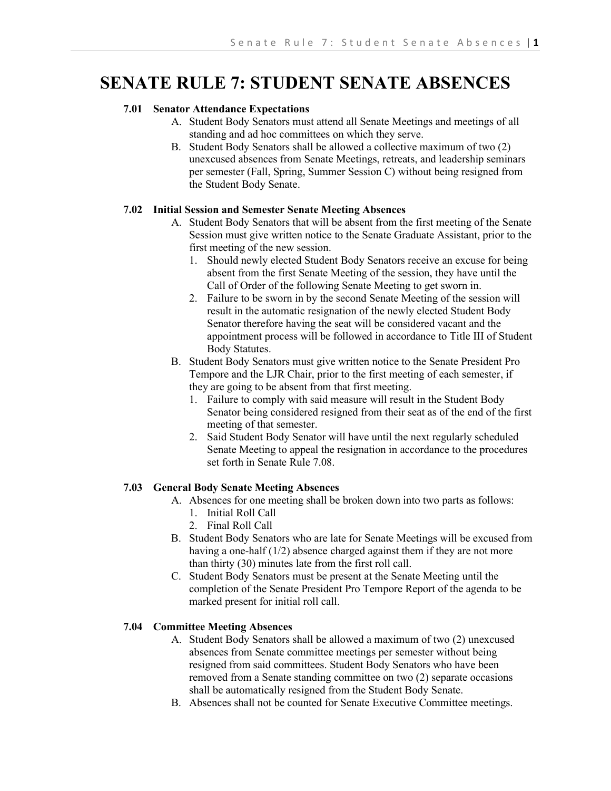# **SENATE RULE 7: STUDENT SENATE ABSENCES**

## **7.01 Senator Attendance Expectations**

- A. Student Body Senators must attend all Senate Meetings and meetings of all standing and ad hoc committees on which they serve.
- B. Student Body Senators shall be allowed a collective maximum of two (2) unexcused absences from Senate Meetings, retreats, and leadership seminars per semester (Fall, Spring, Summer Session C) without being resigned from the Student Body Senate.

## **7.02 Initial Session and Semester Senate Meeting Absences**

- A. Student Body Senators that will be absent from the first meeting of the Senate Session must give written notice to the Senate Graduate Assistant, prior to the first meeting of the new session.
	- 1. Should newly elected Student Body Senators receive an excuse for being absent from the first Senate Meeting of the session, they have until the Call of Order of the following Senate Meeting to get sworn in.
	- 2. Failure to be sworn in by the second Senate Meeting of the session will result in the automatic resignation of the newly elected Student Body Senator therefore having the seat will be considered vacant and the appointment process will be followed in accordance to Title III of Student Body Statutes.
- B. Student Body Senators must give written notice to the Senate President Pro Tempore and the LJR Chair, prior to the first meeting of each semester, if they are going to be absent from that first meeting.
	- 1. Failure to comply with said measure will result in the Student Body Senator being considered resigned from their seat as of the end of the first meeting of that semester.
	- 2. Said Student Body Senator will have until the next regularly scheduled Senate Meeting to appeal the resignation in accordance to the procedures set forth in Senate Rule 7.08.

#### **7.03 General Body Senate Meeting Absences**

- A. Absences for one meeting shall be broken down into two parts as follows:
	- 1. Initial Roll Call
	- 2. Final Roll Call
- B. Student Body Senators who are late for Senate Meetings will be excused from having a one-half (1/2) absence charged against them if they are not more than thirty (30) minutes late from the first roll call.
- C. Student Body Senators must be present at the Senate Meeting until the completion of the Senate President Pro Tempore Report of the agenda to be marked present for initial roll call.

## **7.04 Committee Meeting Absences**

- A. Student Body Senators shall be allowed a maximum of two (2) unexcused absences from Senate committee meetings per semester without being resigned from said committees. Student Body Senators who have been removed from a Senate standing committee on two (2) separate occasions shall be automatically resigned from the Student Body Senate.
- B. Absences shall not be counted for Senate Executive Committee meetings.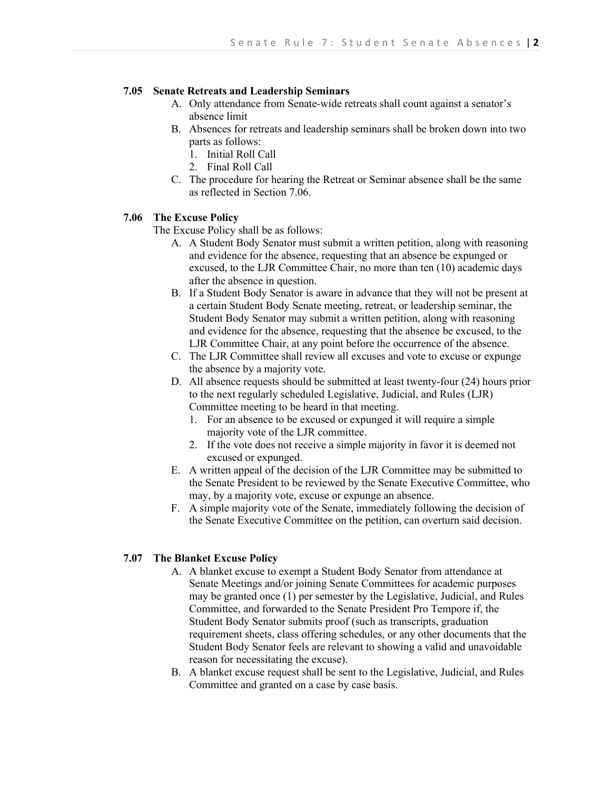## **7.05 Senate Retreats and Leadership Seminars**

- A. Only attendance from Senate-wide retreats shall count against a senator's absence limit
- B. Absences for retreats and leadership seminars shall be broken down into two parts as follows:
	- 1. Initial Roll Call
	- 2. Final Roll Call
- C. The procedure for hearing the Retreat or Seminar absence shall be the same as reflected in Section 7.06.

## **7.06 The Excuse Policy**

The Excuse Policy shall be as follows:

- A. A Student Body Senator must submit a written petition, along with reasoning and evidence for the absence, requesting that an absence be expunged or excused, to the LJR Committee Chair, no more than ten (10) academic days after the absence in question.
- B. If a Student Body Senator is aware in advance that they will not be present at a certain Student Body Senate meeting, retreat, or leadership seminar, the Student Body Senator may submit a written petition, along with reasoning and evidence for the absence, requesting that the absence be excused, to the LJR Committee Chair, at any point before the occurrence of the absence.
- C. The LJR Committee shall review all excuses and vote to excuse or expunge the absence by a majority vote.
- D. All absence requests should be submitted at least twenty-four (24) hours prior to the next regularly scheduled Legislative, Judicial, and Rules (LJR) Committee meeting to be heard in that meeting.
	- 1. For an absence to be excused or expunged it will require a simple majority vote of the LJR committee.
	- 2. If the vote does not receive a simple majority in favor it is deemed not excused or expunged.
- E. A written appeal of the decision of the LJR Committee may be submitted to the Senate President to be reviewed by the Senate Executive Committee, who may, by a majority vote, excuse or expunge an absence.
- F. A simple majority vote of the Senate, immediately following the decision of the Senate Executive Committee on the petition, can overturn said decision.

# **7.07 The Blanket Excuse Policy**

- A. A blanket excuse to exempt a Student Body Senator from attendance at Senate Meetings and/or joining Senate Committees for academic purposes may be granted once (1) per semester by the Legislative, Judicial, and Rules Committee, and forwarded to the Senate President Pro Tempore if, the Student Body Senator submits proof (such as transcripts, graduation requirement sheets, class offering schedules, or any other documents that the Student Body Senator feels are relevant to showing a valid and unavoidable reason for necessitating the excuse).
- B. A blanket excuse request shall be sent to the Legislative, Judicial, and Rules Committee and granted on a case by case basis.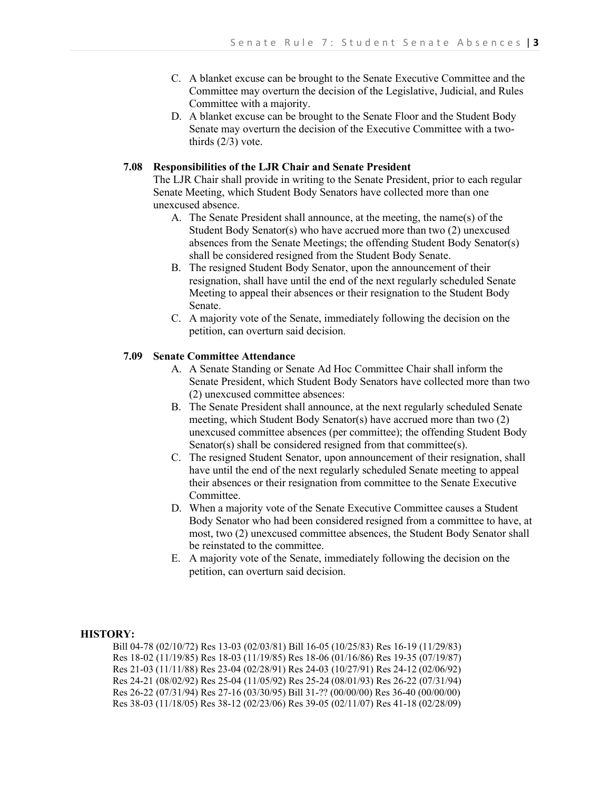- C. A blanket excuse can be brought to the Senate Executive Committee and the Committee may overturn the decision of the Legislative, Judicial, and Rules Committee with a majority.
- D. A blanket excuse can be brought to the Senate Floor and the Student Body Senate may overturn the decision of the Executive Committee with a twothirds  $(2/3)$  vote.

## **7.08 Responsibilities of the LJR Chair and Senate President**

The LJR Chair shall provide in writing to the Senate President, prior to each regular Senate Meeting, which Student Body Senators have collected more than one unexcused absence.

- A. The Senate President shall announce, at the meeting, the name(s) of the Student Body Senator(s) who have accrued more than two (2) unexcused absences from the Senate Meetings; the offending Student Body Senator(s) shall be considered resigned from the Student Body Senate.
- B. The resigned Student Body Senator, upon the announcement of their resignation, shall have until the end of the next regularly scheduled Senate Meeting to appeal their absences or their resignation to the Student Body Senate.
- C. A majority vote of the Senate, immediately following the decision on the petition, can overturn said decision.

## **7.09 Senate Committee Attendance**

- A. A Senate Standing or Senate Ad Hoc Committee Chair shall inform the Senate President, which Student Body Senators have collected more than two (2) unexcused committee absences:
- B. The Senate President shall announce, at the next regularly scheduled Senate meeting, which Student Body Senator(s) have accrued more than two (2) unexcused committee absences (per committee); the offending Student Body Senator(s) shall be considered resigned from that committee(s).
- C. The resigned Student Senator, upon announcement of their resignation, shall have until the end of the next regularly scheduled Senate meeting to appeal their absences or their resignation from committee to the Senate Executive Committee.
- D. When a majority vote of the Senate Executive Committee causes a Student Body Senator who had been considered resigned from a committee to have, at most, two (2) unexcused committee absences, the Student Body Senator shall be reinstated to the committee.
- E. A majority vote of the Senate, immediately following the decision on the petition, can overturn said decision.

#### **HISTORY:**

Bill 04-78 (02/10/72) Res 13-03 (02/03/81) Bill 16-05 (10/25/83) Res 16-19 (11/29/83) Res 18-02 (11/19/85) Res 18-03 (11/19/85) Res 18-06 (01/16/86) Res 19-35 (07/19/87) Res 21-03 (11/11/88) Res 23-04 (02/28/91) Res 24-03 (10/27/91) Res 24-12 (02/06/92) Res 24-21 (08/02/92) Res 25-04 (11/05/92) Res 25-24 (08/01/93) Res 26-22 (07/31/94) Res 26-22 (07/31/94) Res 27-16 (03/30/95) Bill 31-?? (00/00/00) Res 36-40 (00/00/00) Res 38-03 (11/18/05) Res 38-12 (02/23/06) Res 39-05 (02/11/07) Res 41-18 (02/28/09)